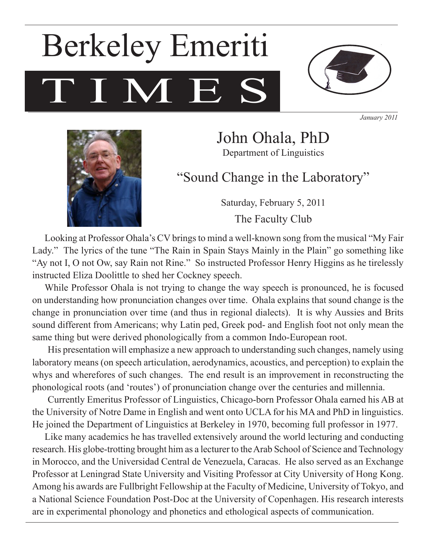# TIME. Berkeley Emeriti



*January 2011*



John Ohala, PhD Department of Linguistics

"Sound Change in the Laboratory"

Saturday, February 5, 2011 The Faculty Club

Looking at Professor Ohala's CV brings to mind a well-known song from the musical "My Fair Lady." The lyrics of the tune "The Rain in Spain Stays Mainly in the Plain" go something like "Ay not I, O not Ow, say Rain not Rine." So instructed Professor Henry Higgins as he tirelessly instructed Eliza Doolittle to shed her Cockney speech.

While Professor Ohala is not trying to change the way speech is pronounced, he is focused on understanding how pronunciation changes over time. Ohala explains that sound change is the change in pronunciation over time (and thus in regional dialects). It is why Aussies and Brits sound different from Americans; why Latin ped, Greek pod- and English foot not only mean the same thing but were derived phonologically from a common Indo-European root.

His presentation will emphasize a new approach to understanding such changes, namely using laboratory means (on speech articulation, aerodynamics, acoustics, and perception) to explain the whys and wherefores of such changes. The end result is an improvement in reconstructing the phonological roots (and 'routes') of pronunciation change over the centuries and millennia.

Currently Emeritus Professor of Linguistics, Chicago-born Professor Ohala earned his AB at the University of Notre Dame in English and went onto UCLA for his MA and PhD in linguistics. He joined the Department of Linguistics at Berkeley in 1970, becoming full professor in 1977.

Like many academics he has travelled extensively around the world lecturing and conducting research. His globe-trotting brought him as a lecturer to the Arab School of Science and Technology in Morocco, and the Universidad Central de Venezuela, Caracas. He also served as an Exchange Professor at Leningrad State University and Visiting Professor at City University of Hong Kong. Among his awards are Fullbright Fellowship at the Faculty of Medicine, University of Tokyo, and a National Science Foundation Post-Doc at the University of Copenhagen. His research interests are in experimental phonology and phonetics and ethological aspects of communication.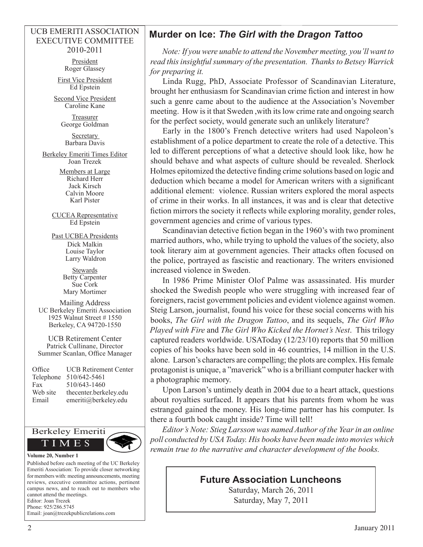#### UCB EMERITI ASSOCIATION EXECUTIVE COMMITTEE 2010-2011

President Roger Glassey

First Vice President Ed Epstein

Second Vice President Caroline Kane

> Treasurer George Goldman

Secretary Barbara Davis

Berkeley Emeriti Times Editor Joan Trezek

> Members at Large Richard Herr Jack Kirsch Calvin Moore Karl Pister

CUCEA Representative Ed Epstein

Past UCBEA Presidents Dick Malkin Louise Taylor Larry Waldron

> **Stewards** Betty Carpenter Sue Cork Mary Mortimer

Mailing Address UC Berkeley Emeriti Association 1925 Walnut Street # 1550 Berkeley, CA 94720-1550

UCB Retirement Center Patrick Cullinane, Director Summer Scanlan, Office Manager

| Office    | <b>UCB Retirement Center</b> |
|-----------|------------------------------|
| Telephone | 510/642-5461                 |
| Fax       | 510/643-1460                 |
| Web site  | thecenter.berkeley.edu       |
| Email     | emeriti@berkeley.edu         |



Published before each meeting of the UC Berkeley Emeriti Association: To provide closer networking for members with: meeting announcements, meeting reviews, executive committee actions, pertinent campus news, and to reach out to members who cannot attend the meetings. Editor: Joan Trezek Phone: 925/286.5745

Email: joan@trezekpublicrelations.com

## **Murder on Ice:** *The Girl with the Dragon Tattoo*

*Note: If you were unable to attend the November meeting, you'll want to read this insightful summary of the presentation. Thanks to Betsey Warrick for preparing it.* 

Linda Rugg, PhD, Associate Professor of Scandinavian Literature, brought her enthusiasm for Scandinavian crime fiction and interest in how such a genre came about to the audience at the Association's November meeting. How is it that Sweden ,with its low crime rate and ongoing search for the perfect society, would generate such an unlikely literature?

Early in the 1800's French detective writers had used Napoleon's establishment of a police department to create the role of a detective. This led to different perceptions of what a detective should look like, how he should behave and what aspects of culture should be revealed. Sherlock Holmes epitomized the detective finding crime solutions based on logic and deduction which became a model for American writers with a significant additional element: violence. Russian writers explored the moral aspects of crime in their works. In all instances, it was and is clear that detective fiction mirrors the society it reflects while exploring morality, gender roles, government agencies and crime of various types.

Scandinavian detective fiction began in the 1960's with two prominent married authors, who, while trying to uphold the values of the society, also took literary aim at government agencies. Their attacks often focused on the police, portrayed as fascistic and reactionary. The writers envisioned increased violence in Sweden.

In 1986 Prime Minister Olof Palme was assassinated. His murder shocked the Swedish people who were struggling with increased fear of foreigners, racist government policies and evident violence against women. Steig Larson, journalist, found his voice for these social concerns with his books, *The Girl with the Dragon Tattoo*, and its sequels, *The Girl Who Played with Fire* and *The Girl Who Kicked the Hornet's Nest*. This trilogy captured readers worldwide. USAToday (12/23/10) reports that 50 million copies of his books have been sold in 46 countries, 14 million in the U.S. alone. Larson's characters are compelling; the plots are complex. His female protagonist is unique, a "maverick" who is a brilliant computer hacker with a photographic memory.

Upon Larson's untimely death in 2004 due to a heart attack, questions about royalties surfaced. It appears that his parents from whom he was estranged gained the money. His long-time partner has his computer. Is there a fourth book caught inside? Time will tell!

*Editor's Note: Stieg Larsson was named Author of the Year in an online poll conducted by USA Today. His books have been made into movies which remain true to the narrative and character development of the books.*

## **Future Association Luncheons**

Saturday, March 26, 2011 Saturday, May 7, 2011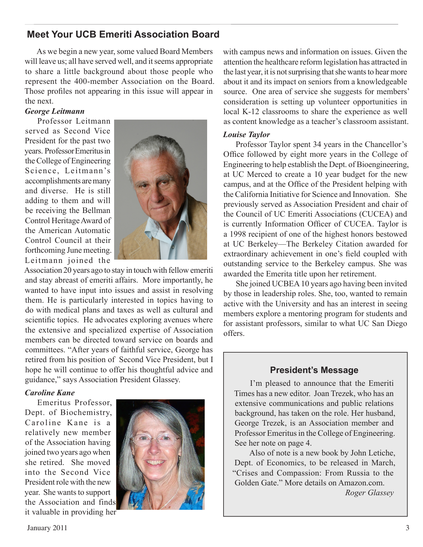## **Meet Your UCB Emeriti Association Board**

As we begin a new year, some valued Board Members will leave us; all have served well, and it seems appropriate to share a little background about those people who represent the 400-member Association on the Board. Those profiles not appearing in this issue will appear in the next.

#### *George Leitmann*

Professor Leitmann served as Second Vice President for the past two years. Professor Emeritus in the College of Engineering Science, Leitmann's accomplishments are many and diverse. He is still adding to them and will be receiving the Bellman Control Heritage Award of the American Automatic Control Council at their forthcoming June meeting. Leitmann joined the



Association 20 years ago to stay in touch with fellow emeriti and stay abreast of emeriti affairs. More importantly, he wanted to have input into issues and assist in resolving them. He is particularly interested in topics having to do with medical plans and taxes as well as cultural and scientific topics. He advocates exploring avenues where the extensive and specialized expertise of Association members can be directed toward service on boards and committees. "After years of faithful service, George has retired from his position of Second Vice President, but I hope he will continue to offer his thoughtful advice and guidance," says Association President Glassey.

### *Caroline Kane*

Emeritus Professor, Dept. of Biochemistry, Caroline Kane is a relatively new member of the Association having joined two years ago when she retired. She moved into the Second Vice President role with the new year. She wants to support the Association and finds it valuable in providing her



with campus news and information on issues. Given the attention the healthcare reform legislation has attracted in the last year, it is not surprising that she wants to hear more about it and its impact on seniors from a knowledgeable source. One area of service she suggests for members' consideration is setting up volunteer opportunities in local K-12 classrooms to share the experience as well as content knowledge as a teacher's classroom assistant.

#### *Louise Taylor*

Professor Taylor spent 34 years in the Chancellor's Office followed by eight more years in the College of Engineering to help establish the Dept. of Bioengineering, at UC Merced to create a 10 year budget for the new campus, and at the Office of the President helping with the California Initiative for Science and Innovation. She previously served as Association President and chair of the Council of UC Emeriti Associations (CUCEA) and is currently Information Officer of CUCEA. Taylor is a 1998 recipient of one of the highest honors bestowed at UC Berkeley—The Berkeley Citation awarded for extraordinary achievement in one's field coupled with outstanding service to the Berkeley campus. She was awarded the Emerita title upon her retirement.

She joined UCBEA 10 years ago having been invited by those in leadership roles. She, too, wanted to remain active with the University and has an interest in seeing members explore a mentoring program for students and for assistant professors, similar to what UC San Diego offers.

## **President's Message**

I'm pleased to announce that the Emeriti Times has a new editor. Joan Trezek, who has an extensive communications and public relations background, has taken on the role. Her husband, George Trezek, is an Association member and Professor Emeritus in the College of Engineering. See her note on page 4.

Also of note is a new book by John Letiche, Dept. of Economics, to be released in March, "Crises and Compassion: From Russia to the Golden Gate." More details on Amazon.com.

*Roger Glassey*